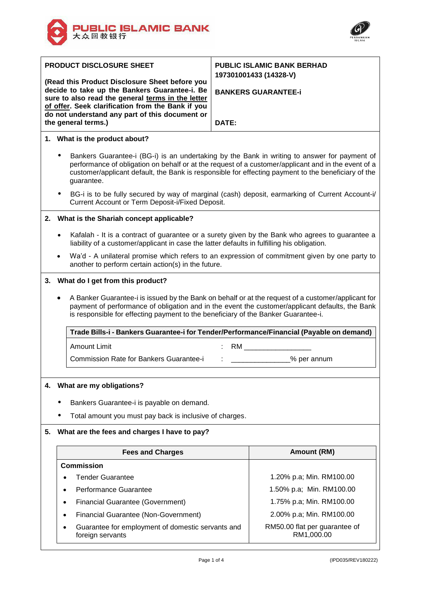



|                                                | PRODUCT DISCLOSURE SHEET                                                                                                                                                                                                                                                                                                              |       | <b>PUBLIC ISLAMIC BANK BERHAD</b>           |  |  |  |  |  |
|------------------------------------------------|---------------------------------------------------------------------------------------------------------------------------------------------------------------------------------------------------------------------------------------------------------------------------------------------------------------------------------------|-------|---------------------------------------------|--|--|--|--|--|
|                                                | (Read this Product Disclosure Sheet before you                                                                                                                                                                                                                                                                                        |       | 197301001433 (14328-V)                      |  |  |  |  |  |
|                                                | decide to take up the Bankers Guarantee-i. Be<br>sure to also read the general terms in the letter                                                                                                                                                                                                                                    |       | <b>BANKERS GUARANTEE-i</b>                  |  |  |  |  |  |
|                                                | of offer. Seek clarification from the Bank if you                                                                                                                                                                                                                                                                                     |       |                                             |  |  |  |  |  |
| do not understand any part of this document or |                                                                                                                                                                                                                                                                                                                                       | DATE: |                                             |  |  |  |  |  |
|                                                | the general terms.)                                                                                                                                                                                                                                                                                                                   |       |                                             |  |  |  |  |  |
|                                                | 1. What is the product about?                                                                                                                                                                                                                                                                                                         |       |                                             |  |  |  |  |  |
|                                                | Bankers Guarantee-i (BG-i) is an undertaking by the Bank in writing to answer for payment of<br>$\bullet$<br>performance of obligation on behalf or at the request of a customer/applicant and in the event of a<br>customer/applicant default, the Bank is responsible for effecting payment to the beneficiary of the<br>guarantee. |       |                                             |  |  |  |  |  |
|                                                | BG-i is to be fully secured by way of marginal (cash) deposit, earmarking of Current Account-i/<br>$\bullet$<br>Current Account or Term Deposit-i/Fixed Deposit.                                                                                                                                                                      |       |                                             |  |  |  |  |  |
|                                                | 2. What is the Shariah concept applicable?                                                                                                                                                                                                                                                                                            |       |                                             |  |  |  |  |  |
|                                                | Kafalah - It is a contract of guarantee or a surety given by the Bank who agrees to guarantee a<br>$\bullet$<br>liability of a customer/applicant in case the latter defaults in fulfilling his obligation.                                                                                                                           |       |                                             |  |  |  |  |  |
|                                                | Wa'd - A unilateral promise which refers to an expression of commitment given by one party to<br>another to perform certain action(s) in the future.                                                                                                                                                                                  |       |                                             |  |  |  |  |  |
|                                                | 3. What do I get from this product?                                                                                                                                                                                                                                                                                                   |       |                                             |  |  |  |  |  |
|                                                | A Banker Guarantee-i is issued by the Bank on behalf or at the request of a customer/applicant for<br>payment of performance of obligation and in the event the customer/applicant defaults, the Bank<br>is responsible for effecting payment to the beneficiary of the Banker Guarantee-i.                                           |       |                                             |  |  |  |  |  |
|                                                | Trade Bills-i - Bankers Guarantee-i for Tender/Performance/Financial (Payable on demand)                                                                                                                                                                                                                                              |       |                                             |  |  |  |  |  |
|                                                | <b>Amount Limit</b><br>RM <b>Exercise State</b>                                                                                                                                                                                                                                                                                       |       |                                             |  |  |  |  |  |
|                                                | <b>Commission Rate for Bankers Guarantee-i</b>                                                                                                                                                                                                                                                                                        |       | _% per annum                                |  |  |  |  |  |
|                                                |                                                                                                                                                                                                                                                                                                                                       |       |                                             |  |  |  |  |  |
|                                                | 4. What are my obligations?                                                                                                                                                                                                                                                                                                           |       |                                             |  |  |  |  |  |
|                                                | Bankers Guarantee-i is payable on demand.                                                                                                                                                                                                                                                                                             |       |                                             |  |  |  |  |  |
|                                                | Total amount you must pay back is inclusive of charges.                                                                                                                                                                                                                                                                               |       |                                             |  |  |  |  |  |
| 5.                                             | What are the fees and charges I have to pay?                                                                                                                                                                                                                                                                                          |       |                                             |  |  |  |  |  |
|                                                | <b>Fees and Charges</b>                                                                                                                                                                                                                                                                                                               |       | Amount (RM)                                 |  |  |  |  |  |
|                                                | <b>Commission</b>                                                                                                                                                                                                                                                                                                                     |       |                                             |  |  |  |  |  |
|                                                | <b>Tender Guarantee</b><br>$\bullet$                                                                                                                                                                                                                                                                                                  |       | 1.20% p.a; Min. RM100.00                    |  |  |  |  |  |
|                                                | <b>Performance Guarantee</b><br>$\bullet$                                                                                                                                                                                                                                                                                             |       | 1.50% p.a; Min. RM100.00                    |  |  |  |  |  |
|                                                | <b>Financial Guarantee (Government)</b><br>٠                                                                                                                                                                                                                                                                                          |       | 1.75% p.a; Min. RM100.00                    |  |  |  |  |  |
|                                                | <b>Financial Guarantee (Non-Government)</b><br>٠                                                                                                                                                                                                                                                                                      |       | 2.00% p.a; Min. RM100.00                    |  |  |  |  |  |
|                                                | Guarantee for employment of domestic servants and<br>foreign servants                                                                                                                                                                                                                                                                 |       | RM50.00 flat per guarantee of<br>RM1,000.00 |  |  |  |  |  |

foreign servants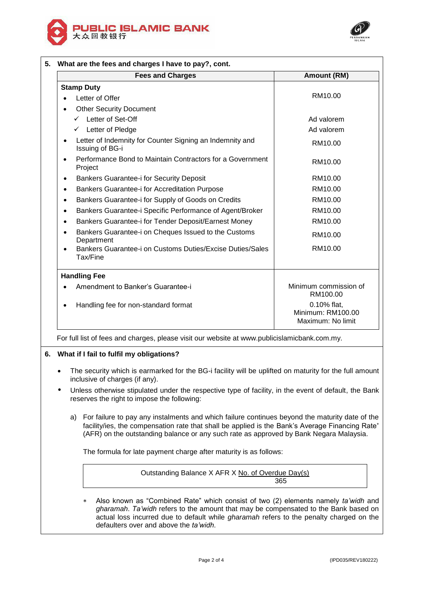



| <b>Fees and Charges</b>                                                                  | Amount (RM)                                           |
|------------------------------------------------------------------------------------------|-------------------------------------------------------|
| <b>Stamp Duty</b>                                                                        |                                                       |
| Letter of Offer                                                                          | RM10.00                                               |
| <b>Other Security Document</b>                                                           |                                                       |
| $\checkmark$ Letter of Set-Off                                                           | Ad valorem                                            |
| $\checkmark$ Letter of Pledge                                                            | Ad valorem                                            |
| Letter of Indemnity for Counter Signing an Indemnity and<br>$\bullet$<br>Issuing of BG-i | RM10.00                                               |
| Performance Bond to Maintain Contractors for a Government<br>$\bullet$<br>Project        | RM10.00                                               |
| Bankers Guarantee-i for Security Deposit<br>$\bullet$                                    | RM10.00                                               |
| Bankers Guarantee-i for Accreditation Purpose<br>$\bullet$                               | RM10.00                                               |
| Bankers Guarantee-i for Supply of Goods on Credits<br>$\bullet$                          | RM10.00                                               |
| Bankers Guarantee-i Specific Performance of Agent/Broker<br>$\bullet$                    | RM10.00<br>RM10.00<br>RM10.00                         |
| Bankers Guarantee-i for Tender Deposit/Earnest Money                                     |                                                       |
| Bankers Guarantee-i on Cheques Issued to the Customs<br>$\bullet$<br>Department          |                                                       |
| Bankers Guarantee-i on Customs Duties/Excise Duties/Sales<br>$\bullet$<br>Tax/Fine       | RM10.00                                               |
| <b>Handling Fee</b>                                                                      |                                                       |
| Amendment to Banker's Guarantee-i                                                        | Minimum commission of<br>RM100.00                     |
| Handling fee for non-standard format                                                     | 0.10% flat,<br>Minimum: RM100.00<br>Maximum: No limit |

For full list of fees and charges, please visit our website at www.publicislamicbank.com.my.

## **6. What if I fail to fulfil my obligations?**

- The security which is earmarked for the BG-i facility will be uplifted on maturity for the full amount inclusive of charges (if any).
- Unless otherwise stipulated under the respective type of facility, in the event of default, the Bank reserves the right to impose the following:
	- a) For failure to pay any instalments and which failure continues beyond the maturity date of the facility/ies, the compensation rate that shall be applied is the Bank's Average Financing Rate\* (AFR) on the outstanding balance or any such rate as approved by Bank Negara Malaysia.

The formula for late payment charge after maturity is as follows:

Outstanding Balance X AFR X No. of Overdue Day(s) 365

 Also known as "Combined Rate" which consist of two (2) elements namely *ta'widh* and *gharamah*. *Ta'widh* refers to the amount that may be compensated to the Bank based on actual loss incurred due to default while *gharamah* refers to the penalty charged on the defaulters over and above the *ta'widh*.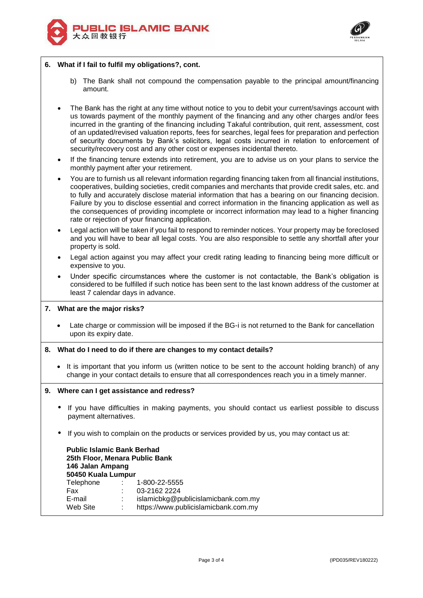



## **6. What if I fail to fulfil my obligations?, cont.**

- b) The Bank shall not compound the compensation payable to the principal amount/financing amount.
- The Bank has the right at any time without notice to you to debit your current/savings account with us towards payment of the monthly payment of the financing and any other charges and/or fees incurred in the granting of the financing including Takaful contribution, quit rent, assessment, cost of an updated/revised valuation reports, fees for searches, legal fees for preparation and perfection of security documents by Bank's solicitors, legal costs incurred in relation to enforcement of security/recovery cost and any other cost or expenses incidental thereto.
- If the financing tenure extends into retirement, you are to advise us on your plans to service the monthly payment after your retirement.
- You are to furnish us all relevant information regarding financing taken from all financial institutions, cooperatives, building societies, credit companies and merchants that provide credit sales, etc. and to fully and accurately disclose material information that has a bearing on our financing decision. Failure by you to disclose essential and correct information in the financing application as well as the consequences of providing incomplete or incorrect information may lead to a higher financing rate or rejection of your financing application.
- Legal action will be taken if you fail to respond to reminder notices. Your property may be foreclosed and you will have to bear all legal costs. You are also responsible to settle any shortfall after your property is sold.
- Legal action against you may affect your credit rating leading to financing being more difficult or expensive to you.
- Under specific circumstances where the customer is not contactable, the Bank's obligation is considered to be fulfilled if such notice has been sent to the last known address of the customer at least 7 calendar days in advance.

## **7. What are the major risks?**

- Late charge or commission will be imposed if the BG-i is not returned to the Bank for cancellation upon its expiry date.
- **8. What do I need to do if there are changes to my contact details?**
	- It is important that you inform us (written notice to be sent to the account holding branch) of any change in your contact details to ensure that all correspondences reach you in a timely manner.

## **9. Where can I get assistance and redress?**

- If you have difficulties in making payments, you should contact us earliest possible to discuss payment alternatives.
- If you wish to complain on the products or services provided by us, you may contact us at:

|           | <b>Public Islamic Bank Berhad</b><br>25th Floor, Menara Public Bank<br>146 Jalan Ampang<br>50450 Kuala Lumpur |                                      |  |  |
|-----------|---------------------------------------------------------------------------------------------------------------|--------------------------------------|--|--|
| Telephone | $\mathbb{R}^{\mathbb{Z}}$                                                                                     | 1-800-22-5555                        |  |  |
| Fax       |                                                                                                               | 03-2162 2224                         |  |  |
| E-mail    | ÷.                                                                                                            | islamicbkg@publicislamicbank.com.my  |  |  |
| Web Site  |                                                                                                               | https://www.publicislamicbank.com.my |  |  |